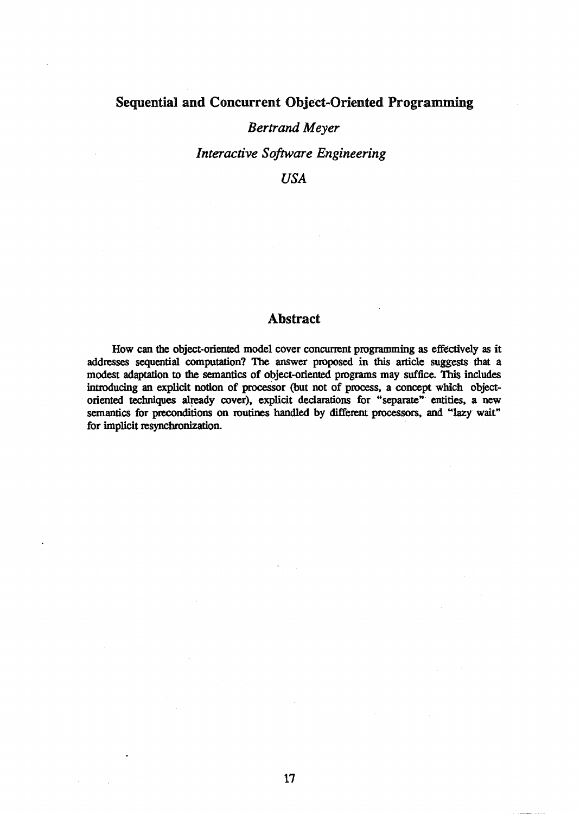# Sequential and Concurrent Object-Oriented Programming

### *Bertrand Meyer*

*Interactive Software Engineering* 

*USA* 

## **Abstract**

How can the object-oriented model cover concurrent programming as effectively as it addresses sequential computation? The answer proposed in this article suggests that a modest adaptation to the semantics of object-oriented programs may suffice. This includes introducing an explicit notion of processor (but not of process, a concept which objectoriented techniques already cover), explicit declarations for "separate" entities, a new semantics for preconditions on routines handled by different processors, and "lazy wait" for implicit resynchronization.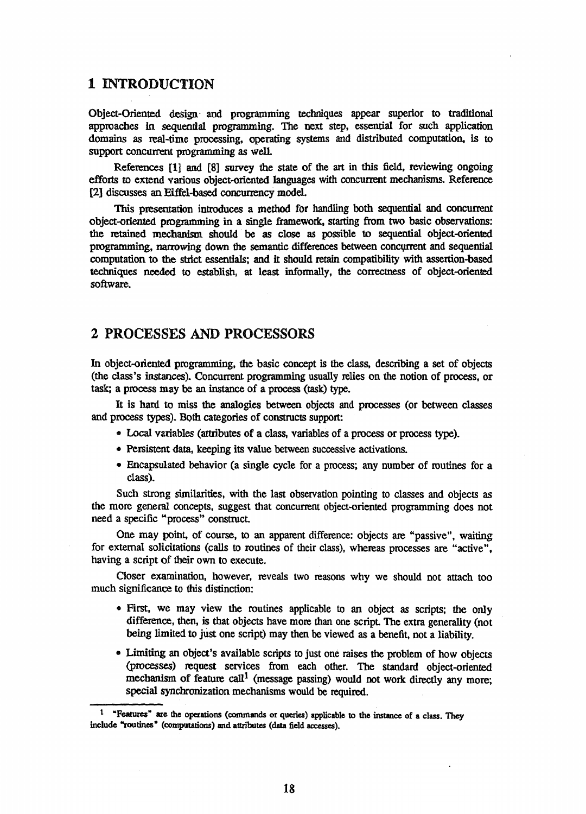### 1 INTRODUCTION

Object-Oriented design- and programming techniques appear superior to traditional approaches in sequential. programming. The next step, essential for such application domains as real-time processing. operating systems and distributed computation, is to support concurrent programming as well.

References [1] and [8] survey the state of the art in this field, reviewing ongoing efforts to extend various object-oriented languages with concurrent mechanisms. Reference [2] discusses an Effel-based concurrency model.

This presentation introduces a method for handling both sequential and concurrent object-oriented programming in a single framework, starting from two basic observations: the retained mechanism should be as close as possible to sequential object-oriented programming, narrowing down the semantic differences between concurrent and sequential computation to the strict essentials; and it should retain compatibility with assertion-based techniques needed to establish. at least informally, the correctness of object-oriented software.

# 2 PROCESSES AND PROCESSORS

In object-oriented programming, the basic concept is the class, describing a set of objects (the class's instances). Concurrent programming usually relies on the notion of process, or task; a process may be an instance of a process (task) type.

It is hard to miss the analogies between objects and processes (or between classes and process types). Both categories of constructs support:

- Local variables (attributes of a class, variables of a process or process type).
- Persistent data, keeping its value between successive activations.
- Encapsulated behavior (a single cycle for a process; any number of routines for a class).

Such strong similarities, with the last observation pointing to classes and objects as the more general concepts, suggest that concurrent object-oriented programming does not need a specific "process" construct

One may point, of course, to an apparent difference: objects are "passive", waiting for external solicitations (calls to routines of their class), whereas processes are "active". having a script of their own to execute.

Closer examination, however, reveals two reasons why we should not attach too much significance to this distinction:

- First, we may view the routines applicable to an object as scripts; the only difference, then, is that objects have more than one script The extra generality (not being limited to just one script) may then be viewed as a benefit, not a liability.
- Limiting an object's available scripts to just one raises the problem of how objects (processes) request services from each other. The standard object-oriented mechanism of feature call<sup>1</sup> (message passing) would not work directly any more; special synchronization mechanisms would be required.

<sup>&</sup>lt;sup>1</sup> "Features" are the operations (commands or queries) applicable to the instance of a class. They include "routines" (computations) and attributes (data field accesses).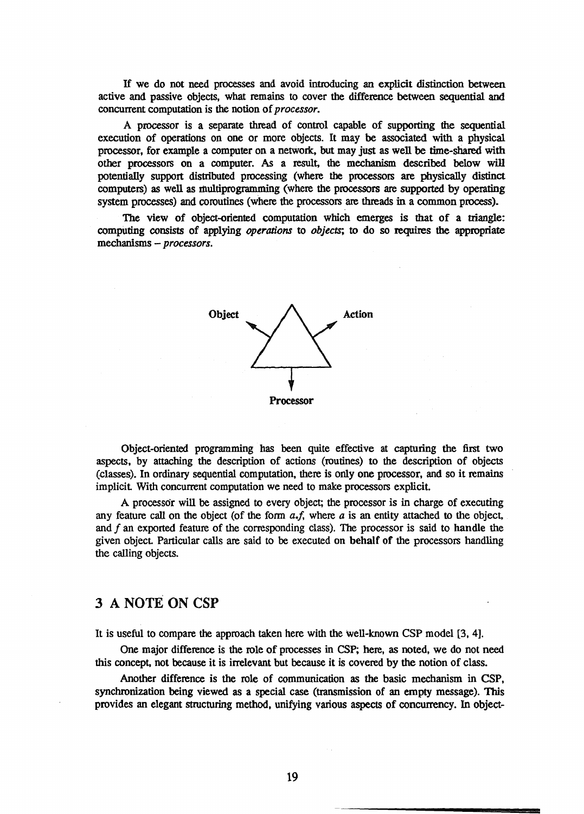If we do not need processes and avoid introducing an explicit distinction between active and passive objects, what remains to cover the difference between sequential and concurrent computation is the notion of *processor.* 

A processor is a separate thread of control capable of supporting the sequential execution of operations on one or more objects. It may be associated with a physical processor, for example a computer on a network, but may just as well be time-shared with other processors on a computer. As a result, the mechanism. described below will potentially support distributed processing (where the processors are physically distinct computers) as well as multiprogramming (where the processors are supported by operating system processes) and coroutines (where the processors are threads in a common process).

The view of object-oriented computation which emerges is that of a triangle: computing consists of applying *operations* to *objects;* to do so requires the appropriate mechanisms - *processors.* 



Object-oriented programming has been quite effective at capturing the first two aspects, by attaching the description of actions (routines) to the description of objects (classes). In ordinary sequential computation, there is only one processor, and so it remains implicit With concurrent computation we need to make processors explicit.

A processor will be assigned to every object; the processor is in charge of executing any feature call on the object (of the fonn *a.f,* where *a* is an entity attached to the object, and f an exported feature of the corresponding class). The processor is said to handle the given object Particular calls are said to be executed on behalf of the processors handling the calling objects.

## 3 A NOTE ON CSP

It is useful to compare the approach taken here with the well-known CSP model [3,4].

One major difference is the role of processes in CSP; here, as noted, we do not need this concept, not because it is irrelevant but because it is covered by the notion of class.

Another difference is the role of communication as the basic mechanism in CSP, synchronization being viewed as a special case (transmission of an empty message). This provides an elegant structuring method, unifying various aspects of concurrency. In object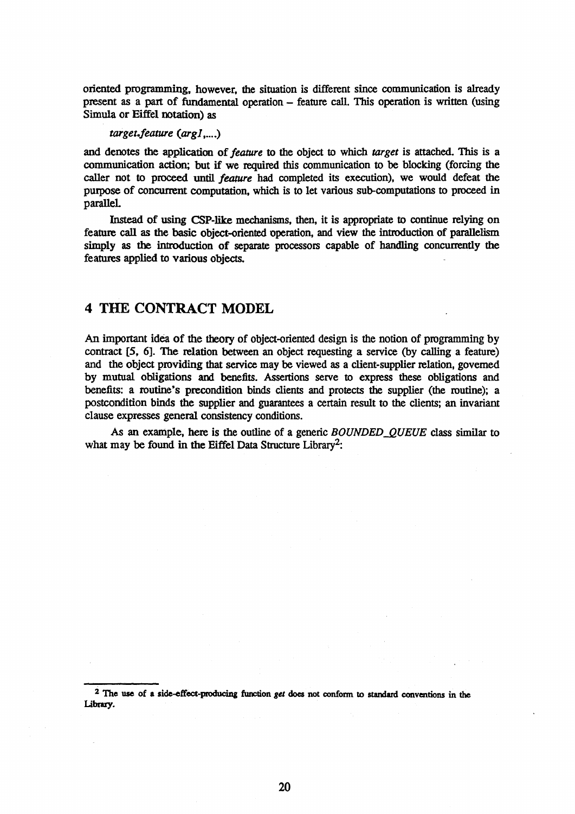oriented programming, however. the situation is different since communication is already present as a part of fundamental operation - feature call. This operation is written (using Simula or Eiffel notation) as

*target.feature (arg1,....)* 

and denotes the application of *feature* to the object to which *target* is attached. This is a communication action; but if we required this communication to be blocking (forcing the caller not to proceed until *feature* had completed its execution). we would defeat the purpose of concurrent computation, which is to let various sub-computations to proceed in paralleL

Instead of using CSP-like mechanisms. then, it is appropriate to continue relying on feature call as the basic object-oriented operation, and view the introduction of parallelism simply as the introduction of separate processors capable of handling concurrently the features applied to various objects.

### 4 THE CONTRACT MODEL

An important idea of the theory of object-oriented design is the notion of programming by contract [5, 6]. The relation between an object requesting a service (by calling a feature) and the object providing that service may be viewed as a client-supplier relation, governed by mutual obligations and benefits. Assertions serve to express these obligations and benefits: a routine's precondition binds clients and protects the supplier (the routine); a postcondition binds the supplier and guarantees a certain result to the clients; an invariant clause expresses general consistency conditions.

As an example, here is the outline of a generic *BOUNDED* QUEUE class similar to what may be found in the Eiffel Data Structure Library<sup>2</sup>:

<sup>&</sup>lt;sup>2</sup> The use of a side-effect-producing function get does not conform to standard conventions in the Library.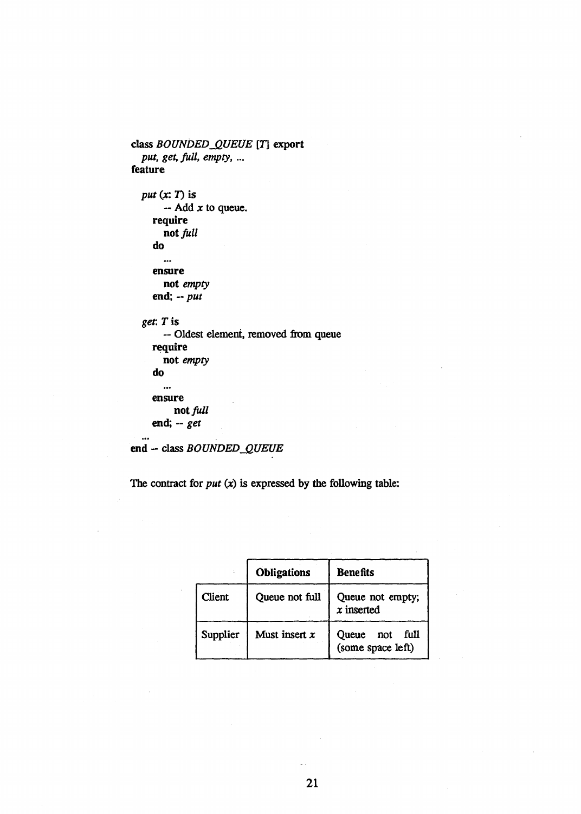```
class BOUNDED_QUEUE [T] export
  put, get, full, empty, ...
feature
```

```
put(x; T) is
     -- Add x to queue. 
  require 
     not full
  do 
     ...
  ensure 
     not empty 
  end; -- put 
get: Tis 
     -- Oldest element. removed from queue 
  require 
     not empty 
  do 
     \ddotscensure 
       not full 
  end; -- get 
\ddotsc
```

```
end - class BOUNDED_QUEUE
```
The contract for  $put(x)$  is expressed by the following table:

|               | Obligations     | <b>Benefits</b>                           |
|---------------|-----------------|-------------------------------------------|
| <b>Client</b> | Queue not full  | Queue not empty;<br>$x$ inserted          |
| Supplier      | Must insert $x$ | Queue<br>full<br>not<br>(some space left) |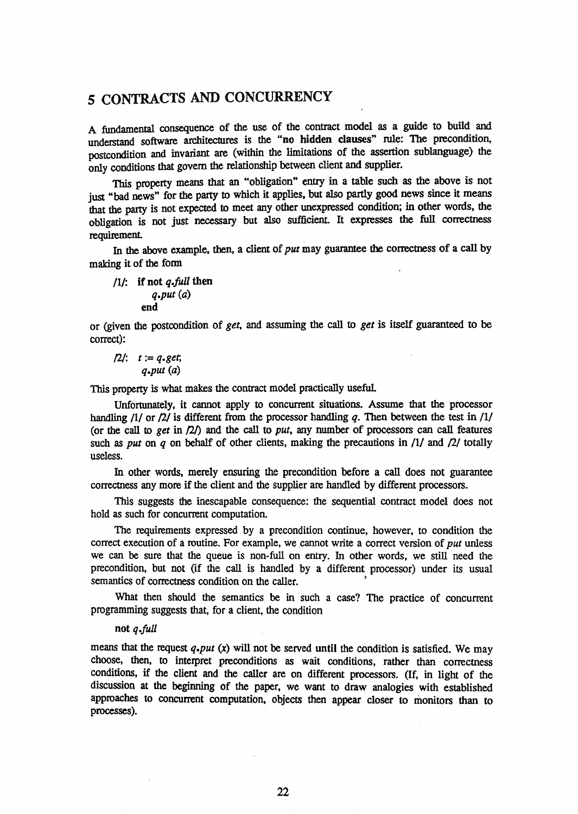# 5 CONTRACTS AND CONCURRENCY

A fundamental consequence of the use of the contract model as a guide to build and understand software architectures is the "no hidden clauses" rule: The precondition, postcondition and invariant are (within the limitations of the assertion sublanguage) the only conditions that govern the relationship between client and supplier.

This property means that an "obligation" entry in a table such as the above is not just "bad news" for the party to which it applies, but also partly good news since it means that the party is not expected to meet any other unexpressed condition; in other words. the obligation is not just necessary but also sufficient. It expresses the full correctness requirement.

In the above example. then, a client of *put* may guarantee the correctness of a call by making it of the form

*11/:* if not *q.jull* then *q.put (a)*  end

or (given the postcondition of *get.* and assuming the call to *get* is itself guaranteed to be correct):

 $f2t$ :  $t := q.get$ *q.put* (a)

This property is what makes the contract model practically useful.

Unfortunately, it cannot apply to concurrent situations. Assume that the processor handling  $11/$  or  $7/2$  is different from the processor handling q. Then between the test in  $1/1/2$ (or the call to *get* in  $(2)$ ) and the call to *put*, any number of processors can call features such as *put* on *q* on behalf of other clients, making the precautions in  $/1/$  and  $/2/$  totally useless.

In other words, merely ensuring the precondition before a call does not guarantee correctness any more if the client and the supplier are handled by different processors.

This suggests the inescapable consequence: the sequential contract model does not hold as such for concurrent computation.

The requirements expressed by a precondition continue, however, to condition the correct execution of a routine. For example, we ,cannot write a correct version of *put* unless we can be sure that the queue is non·full on entry. In other words, we still need the precondition, but not (if the call is handled by a different processor) under its usual semantics of correctness condition on the caller.

What then should the semantics be in such a case? The practice of concurrent programming suggests that, for a client, the condition

### not *q.jull*

means that the request *q.put (x)* will not be served until the condition is satisfied. We may choose, then, to interpret preconditions as wait conditions, rather than correctness conditions, if the client and the caller are on different processors. (If, in light of the discussion at the beginning of the paper. we want to draw analogies with established approaches to concurrent computation, objects then appear closer to monitors than to processes).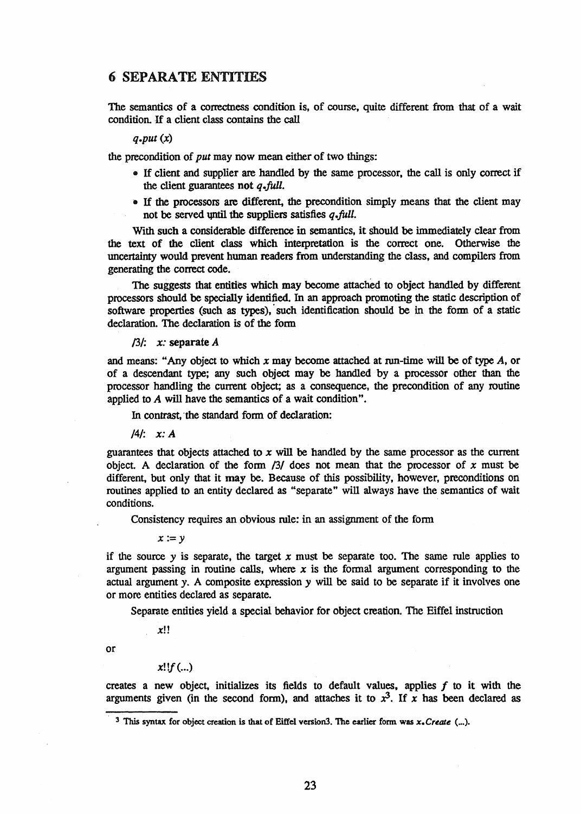## 6 SEPARATE ENTITIES

The semantics of a correctness condition is, of course, quite different from that of a wait condition. If a client class contains the call

### *q.put* (x)

the precondition of *put* may now mean either of two things:

- If client and supplier are handled by the same processor, the call is only correct if the client guarantees not *q.full.*
- If the processors are different, the precondition simply means that the client may not be served until the suppliers satisfies  $q$  *full.*

With such a considerable difference in semantics, it should be immediately clear from the text of the client class which interpretation is the correct one. Otherwise the uncertainty would prevent human readers from understanding the class, and compilers from generating the correct code.

The suggests that entities which may become attached to object handled by different processors should be specially identified. In an approach promoting the static description of software properties (such as types), such identification should be in the form of a static declaration. The declaration is of the fonn

### */3/: x:* separate A

and means: "Any object to which *x* may become attached at run-time will be of type A, or of a descendant type; any such object may be handled by a processor other than the processor handling the current Object; as a consequence, the precondition of any routine applied to *A* will have the semantics of a wait condition".

In contrast, 'the standard fonn of declaration:

*/4/: x: A* 

guarantees that objects attached to *x* will be handled by the same processor as the current object. A declaration of the fonn /3/ does not mean that the processor of *x* must be different, but only that it may be. Because of this possibility, however, preconditions on routines applied to an entity declared as "separate" will always have the semantics of wait conditions.

Consistency requires an obvious rule: in an assignment of the fonn

*x :=y* 

if the source  $y$  is separate, the target  $x$  must be separate too. The same rule applies to argument passing in routine calls, where  $x$  is the formal argument corresponding to the actual argument y. A composite expression y will be said to be separate if it involves one or more entities declared as separate.

Separate entities yield a special behavior for object creation. The Eiffel instruction

xl!

or

$$
x!!f(...)
$$

creates a new object, initializes its fields to default values, applies  $f$  to it with the arguments given (in the second form), and attaches it to  $x^3$ . If x has been declared as

<sup>3</sup> This syntax for object creation is that of Eiffel version3. The earlier form was  $x$ . Create (...).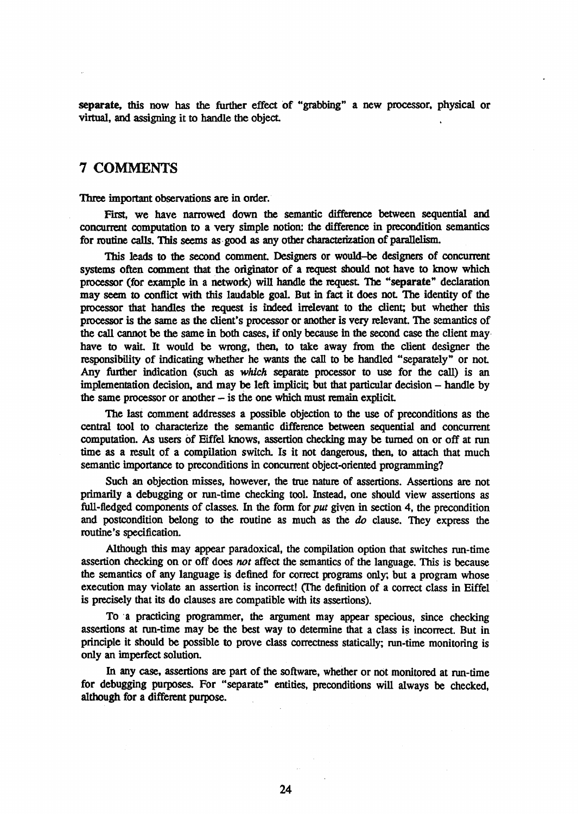separate, this now has the further effect of "grabbing" a new processor, physical or virtual, and assigning it to handle the object.

### 7 COMMENTS

Three important observations are in order.

First, we have narrowed down the semantic difference between sequential and concurrent computation to a very simple notion: the difference in precondition semantics for routine calls. This seems as· good as any other characterization of parallelism.

This leads to the second comment. Designers or would-be designers of concurrent systems often comment that the originator of a request should not have to know which processor (for example in a network) will handle the request. The "separate" declaration may seem to conflict with this laudable goal. But in fact it does not. The identity of the processor that handles the request is indeed irrelevant to the client; but whether this processor is the same as the client's processor or another is very relevant. The semantics of the call cannot be the same in both cases, if only because in the second case the client may· have to wait. It would be wrong, then, to take away from the client designer the responsibility of indicating whether he wants the call to be handled "separately" or not. Any further indication (such as which separate processor to use for the call) is an implementation decision, and may be left implicit; but that particular decision - handle by the same processor or another  $-$  is the one which must remain explicit.

The last comment addresses a possible objection to the use of preconditions as the central tool to characterize the semantic difference between sequential and concurrent computation. As users of Eiffel knows, assertion checking may be turned on or off at run time as a result of a compilation switch. Is it not dangerous, then, to attach that much semantic importance to preconditions in concurrent object-oriented programming?

Such an objection misses, however. the true nature of assertions. Assertions are not primarily a debugging or run-time checking tool. Instead. one should view assertions as full-fledged components of classes. In the form for *put* given in section 4, the precondition and postcondition belong to the routine as much as the *do* clause. They express the routine's specification.

Although this may appear paradoxical, the compilation option that switches run-time assertion checking on or off does *not* affect the semantics of the language. This is because the semantics of any language is defined for correct programs only; but a program whose execution may violate an assertion is incorrect! (The definition of a correct class in Eiffel is precisely that its do clauses are compatible with its assertions).

To a practicing programmer, the argument may appear specious, since checking assertions at run-time may be the best way to detennine that a class is incorrect. But in principle it should be possible to prove class correctness statically; run-time monitoring is only an imperfect solution.

In any case, assertions are part of the software, whether or not monitored at run-time for debugging purposes. For "separate" entities, preconditions will always be checked, although for a different purpose.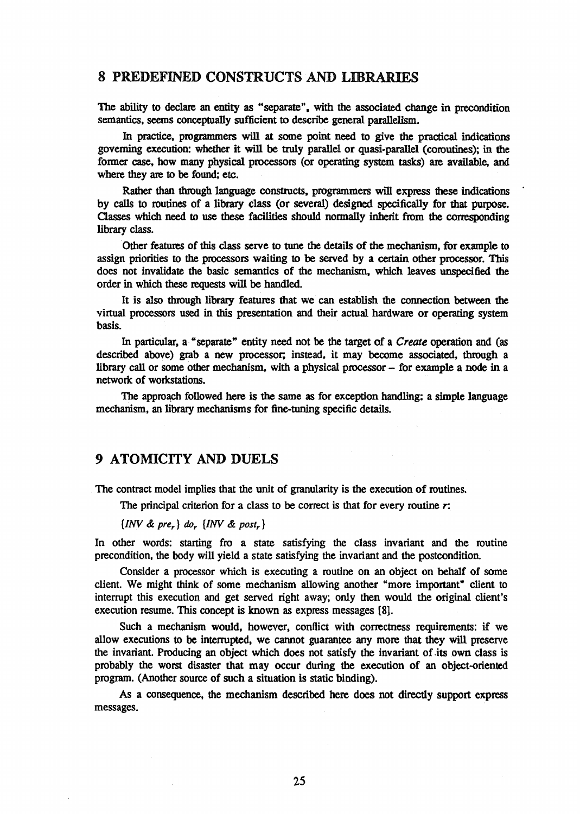### 8 PREDEFINED CONSTRUCTS AND LIBRARIES

The ability to declare an entity as "separate". with the associated change in precondition semantics. seems conceptually sufficient to describe general parallelism.

In practice, programmers will at some point need to give the practical indications governing execution: whether it will be truly parallel or quasi-parallel (coroutines); in the former case. how many physical processors (or operating system tasks) are available, and where they are to be found; etc.

Rather than through language constructs. programmers will express these indications by caUs to routines of a library class (or several) designed specifically for that purpose. Classes which need to use these facilities should normally inherit from the corresponding library class.

Other features of this class serve to tune the details of the mechanism, for example to assign priorities to the processors waiting to be served by a certain other processor. This does not invalidate the basic semantics of the mechanism, which leaves unspecified the order in which these requests will be handled.

It is also through library features that we can establish the connection between the virtual processors used in this presentation and their actual hardware or operating system basis.

In particular, a "separate" entity need not be the target of a *Create* operation and (as described above) grab a new processor; instead, it may become associated, through a library call or some other mechanism, with a physical processor - for example a node in a network of workstations.

The approach followed here is the same as for exception handling: a simple language mechanism, an library mechanisms for fine-tuning specific details.

### 9 ATOMICITY AND DUELS

The contract model implies that the unit of granularity is the execution of routines.

The principal criterion for a class to be correct is that for every routine *r:* 

*{INV* & *prer } (/or {INV* & *post,}* 

In other words: starting fro a state satisfying the class invariant and the routine precondition, the body will yield a state satisfying the invariant and the postcondition.

Consider a processor which is executing a routine on an object on behalf of some client. We might think of some mechanism allowing another "more important" client to interrupt this execution and get served right away; only then would the original client's execution resume. This concept is known as express messages {8].

Such a mechanism would. however, conflict with correctness requirements: if we allow executions to be intenupted, we cannot guarantee any more that they will preserve the invariant. Producing an object which does not satisfy the invariant of .its own class is probably the worst disaster that may occur during the execution of an object-oriented program. (Another source of such a situation is static binding).

As a consequence, the mechanism described here does not directly support express messages.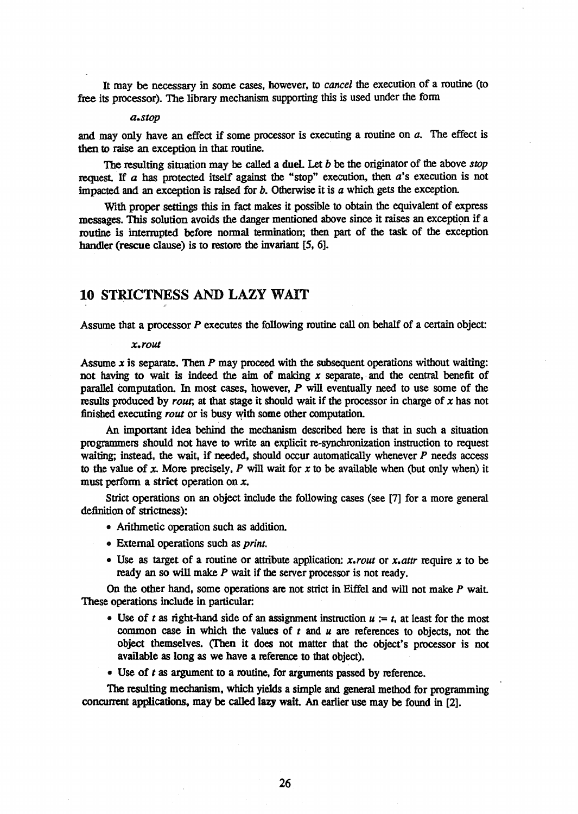It may be necessary in some cases, however, to *cancel* the execution of a routine (to free its processor). The library mechanism supporting this is used under the fonn

#### *a.stop*

and may only have an effect if some processor is executing a routine on *a.* The effect is then to raise an exception in that routine.

The resulting situation may be called a duel. Let b be the originator of the above *stop*  request. If *a* has protected itself against the "stop" execution, then *a*'s execution is not impacted and an exception is raised for *b*. Otherwise it is *a* which gets the exception.

With proper settings this in fact makes it possible to obtain the equivalent of express messages. This solution avoids the danger mentioned above since it raises an exception if a routine is intenupted before nonnal tennination; then part of the task of the exception handler (rescue clause) is to restore the invariant [5, 6].

## 10 STRICTNESS AND LAZY WAIT

Assume that a processor P executes the following routine call on behalf of a certain object:

#### *x.rout*

Assume *x* is separate. Then *P* may proceed with the subsequent operations without waiting: not having to wait is indeed the aim of making *x* separate, and the central benefit of parallel Computation. In most cases, however, *P* will eventually need to use some of the results produced by *rout;* at that stage it should wait if the processor in charge of *x* has not finished executing *rout* or is busy with some other computation.

An important idea behind the mechanism described here is that in such a situation programmers should not have to write an explicit re-synchronization instruction to request waiting; instead, the wait, if needed, should occur automatically whenever *P* needs access to the value of *x.* More precisely. *P* will wait for *x* to be available when (but only when) it must perfonn a strict operation on *x.* 

Strict operations on an object include the following cases (see [7] for a more general definition of strictness):

- Arithmetic operation such as addition.
- External operations such as *print.*
- Use as target of a routine or attribute application: *x.rout* or *x.attr* require *x* to be ready an so will make P wait if the server processor is not ready.

On the other hand, some operations are not strict in Eiffel and will not make *P* wait These operations include in particular:

- Use of *t* as right-hand side of an assignment instruction  $u := t$ , at least for the most common case in which the values of *t* and *u* are references to objects, not the object themselves. (Then it does not matter that the object's processor is not available as long as we have a reference to that object).
- Use of *t* as argument to a routine. for arguments passed by reference.

The resulting mechanism, which yields a simple and general method for programming concurrent applications. may be called lazy wait. An earlier use may be found in [2].